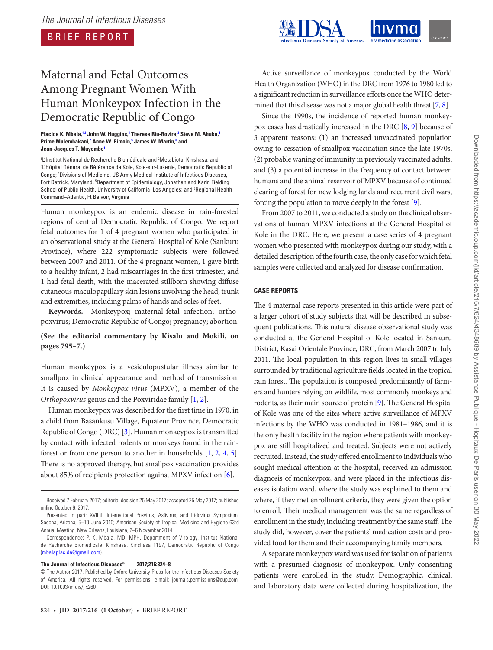BRIEF REPORT

# of Americ

# Maternal and Fetal Outcomes Among Pregnant Women With Human Monkeypox Infection in the Democratic Republic of Congo

#### **Placide K. Mbala,1,2 John W. Huggins,4 Therese Riu-Rovira,3 Steve M. Ahuka,1** Prime Mulembakani,<sup>2</sup> Anne W. Rimoin,<sup>5</sup> James W. Martin,<sup>6</sup> and **Jean-Jacques T. Muyembe1**

lL'Institut National de Recherche Biomédicale and ?Metabiota, Kinshasa, and<br>3 'Hônital Général de Béférence de Kole, Kole-sur-Lukenie, Democratic Benuk <sup>3</sup> L'Hôpital Général de Référence de Kole, Kole-sur-Lukenie, Democratic Republic of Congo; 4 Divisions of Medicine, US Army Medical Institute of Infectious Diseases, Fort Detrick, Maryland; <sup>s</sup>Department of Epidemiology, Jonathan and Karin Fielding School of Public Health, University of California–Los Angeles; and <sup>e</sup>Regional Health Command–Atlantic, Ft Belvoir, Virginia

Human monkeypox is an endemic disease in rain-forested regions of central Democratic Republic of Congo. We report fetal outcomes for 1 of 4 pregnant women who participated in an observational study at the General Hospital of Kole (Sankuru Province), where 222 symptomatic subjects were followed between 2007 and 2011. Of the 4 pregnant women, 1 gave birth to a healthy infant, 2 had miscarriages in the first trimester, and 1 had fetal death, with the macerated stillborn showing diffuse cutaneous maculopapillary skin lesions involving the head, trunk and extremities, including palms of hands and soles of feet.

**Keywords.** Monkeypox; maternal-fetal infection; orthopoxvirus; Democratic Republic of Congo; pregnancy; abortion.

# **(See the editorial commentary by Kisalu and Mokili, on pages 795–7.)**

Human monkeypox is a vesiculopustular illness similar to smallpox in clinical appearance and method of transmission. It is caused by *Monkeypox virus* (MPXV), a member of the *Orthopoxvirus* genus and the Poxviridae family [1, 2].

Human monkeypox was described for the first time in 1970, in a child from Basankusu Village, Equateur Province, Democratic Republic of Congo (DRC) [3]. Human monkeypox is transmitted by contact with infected rodents or monkeys found in the rainforest or from one person to another in households [1, 2, 4, 5]. There is no approved therapy, but smallpox vaccination provides about 85% of recipients protection against MPXV infection [6].

#### **The Journal of Infectious Diseases® 2017;216:824–8**

Active surveillance of monkeypox conducted by the World Health Organization (WHO) in the DRC from 1976 to 1980 led to a significant reduction in surveillance efforts once the WHO determined that this disease was not a major global health threat [7, 8].

Since the 1990s, the incidence of reported human monkeypox cases has drastically increased in the DRC [8, 9] because of 3 apparent reasons: (1) an increased unvaccinated population owing to cessation of smallpox vaccination since the late 1970s, (2) probable waning of immunity in previously vaccinated adults, and (3) a potential increase in the frequency of contact between humans and the animal reservoir of MPXV because of continued clearing of forest for new lodging lands and recurrent civil wars, forcing the population to move deeply in the forest [9].

From 2007 to 2011, we conducted a study on the clinical observations of human MPXV infections at the General Hospital of Kole in the DRC. Here, we present a case series of 4 pregnant women who presented with monkeypox during our study, with a detailed description of the fourth case, the only case for which fetal samples were collected and analyzed for disease confirmation.

# **CASE REPORTS**

The 4 maternal case reports presented in this article were part of a larger cohort of study subjects that will be described in subsequent publications. This natural disease observational study was conducted at the General Hospital of Kole located in Sankuru District, Kasai Orientale Province, DRC, from March 2007 to July 2011. The local population in this region lives in small villages surrounded by traditional agriculture fields located in the tropical rain forest. The population is composed predominantly of farmers and hunters relying on wildlife, most commonly monkeys and rodents, as their main source of protein [9]. The General Hospital of Kole was one of the sites where active surveillance of MPXV infections by the WHO was conducted in 1981–1986, and it is the only health facility in the region where patients with monkeypox are still hospitalized and treated. Subjects were not actively recruited. Instead, the study offered enrollment to individuals who sought medical attention at the hospital, received an admission diagnosis of monkeypox, and were placed in the infectious diseases isolation ward, where the study was explained to them and where, if they met enrollment criteria, they were given the option to enroll. Their medical management was the same regardless of enrollment in the study, including treatment by the same staff. The study did, however, cover the patients' medication costs and provided food for them and their accompanying family members.

A separate monkeypox ward was used for isolation of patients with a presumed diagnosis of monkeypox. Only consenting patients were enrolled in the study. Demographic, clinical, and laboratory data were collected during hospitalization, the

Received 7 February 2017; editorial decision 25 May 2017; accepted 25 May 2017; published online October 6, 2017.

Presented in part: XVIIIth International Poxvirus, Asfivirus, and Iridovirus Symposium, Sedona, Arizona, 5–10 June 2010; American Society of Tropical Medicine and Hygiene 63rd Annual Meeting, New Orleans, Louisiana, 2–6 November 2014.

Correspondence: P. K. Mbala, MD, MPH, Department of Virology, Institut National de Recherche Biomedicale, Kinshasa, Kinshasa 1197, Democratic Republic of Congo (mbalaplacide@gmail.com).

<sup>©</sup> The Author 2017. Published by Oxford University Press for the Infectious Diseases Society of America. All rights reserved. For permissions, e-mail: journals.permissions@oup.com. DOI: 10.1093/infdis/jix260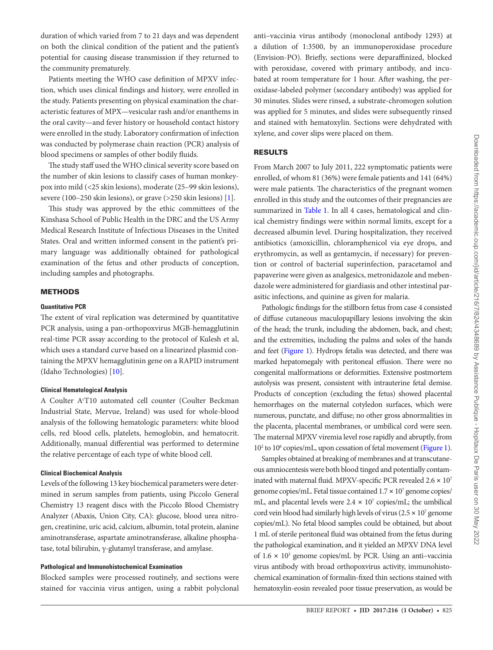duration of which varied from 7 to 21 days and was dependent on both the clinical condition of the patient and the patient's potential for causing disease transmission if they returned to the community prematurely.

Patients meeting the WHO case definition of MPXV infection, which uses clinical findings and history, were enrolled in the study. Patients presenting on physical examination the characteristic features of MPX—vesicular rash and/or enanthems in the oral cavity—and fever history or household contact history were enrolled in the study. Laboratory confirmation of infection was conducted by polymerase chain reaction (PCR) analysis of blood specimens or samples of other bodily fluids.

The study staff used the WHO clinical severity score based on the number of skin lesions to classify cases of human monkeypox into mild (<25 skin lesions), moderate (25–99 skin lesions), severe (100–250 skin lesions), or grave (>250 skin lesions) [1].

This study was approved by the ethic committees of the Kinshasa School of Public Health in the DRC and the US Army Medical Research Institute of Infectious Diseases in the United States. Oral and written informed consent in the patient's primary language was additionally obtained for pathological examination of the fetus and other products of conception, including samples and photographs.

# **METHODS**

#### **Quantitative PCR**

The extent of viral replication was determined by quantitative PCR analysis, using a pan-orthopoxvirus MGB-hemagglutinin real-time PCR assay according to the protocol of Kulesh et al, which uses a standard curve based on a linearized plasmid containing the MPXV hemagglutinin gene on a RAPID instrument (Idaho Technologies) [10].

#### **Clinical Hematological Analysis**

A Coulter A<sup>c</sup>T10 automated cell counter (Coulter Beckman Industrial State, Mervue, Ireland) was used for whole-blood analysis of the following hematologic parameters: white blood cells, red blood cells, platelets, hemoglobin, and hematocrit. Additionally, manual differential was performed to determine the relative percentage of each type of white blood cell.

# **Clinical Biochemical Analysis**

Levels of the following 13 key biochemical parameters were determined in serum samples from patients, using Piccolo General Chemistry 13 reagent discs with the Piccolo Blood Chemistry Analyzer (Abaxis, Union City, CA): glucose, blood urea nitrogen, creatinine, uric acid, calcium, albumin, total protein, alanine aminotransferase, aspartate aminotransferase, alkaline phosphatase, total bilirubin, γ-glutamyl transferase, and amylase.

## **Pathological and Immunohistochemical Examination**

Blocked samples were processed routinely, and sections were stained for vaccinia virus antigen, using a rabbit polyclonal anti–vaccinia virus antibody (monoclonal antibody 1293) at a dilution of 1:3500, by an immunoperoxidase procedure (Envision-PO). Briefly, sections were deparaffinized, blocked with peroxidase, covered with primary antibody, and incubated at room temperature for 1 hour. After washing, the peroxidase-labeled polymer (secondary antibody) was applied for 30 minutes. Slides were rinsed, a substrate-chromogen solution was applied for 5 minutes, and slides were subsequently rinsed and stained with hematoxylin. Sections were dehydrated with xylene, and cover slips were placed on them.

#### RESULTS

From March 2007 to July 2011, 222 symptomatic patients were enrolled, of whom 81 (36%) were female patients and 141 (64%) were male patients. The characteristics of the pregnant women enrolled in this study and the outcomes of their pregnancies are summarized in Table 1. In all 4 cases, hematological and clinical chemistry findings were within normal limits, except for a decreased albumin level. During hospitalization, they received antibiotics (amoxicillin, chloramphenicol via eye drops, and erythromycin, as well as gentamycin, if necessary) for prevention or control of bacterial superinfection, paracetamol and papaverine were given as analgesics, metronidazole and mebendazole were administered for giardiasis and other intestinal parasitic infections, and quinine as given for malaria.

Pathologic findings for the stillborn fetus from case 4 consisted of diffuse cutaneous maculopapillary lesions involving the skin of the head; the trunk, including the abdomen, back, and chest; and the extremities, including the palms and soles of the hands and feet (Figure 1). Hydrops fetalis was detected, and there was marked hepatomegaly with peritoneal effusion. There were no congenital malformations or deformities. Extensive postmortem autolysis was present, consistent with intrauterine fetal demise. Products of conception (excluding the fetus) showed placental hemorrhages on the maternal cotyledon surfaces, which were numerous, punctate, and diffuse; no other gross abnormalities in the placenta, placental membranes, or umbilical cord were seen. The maternal MPXV viremia level rose rapidly and abruptly, from 10<sup>2</sup> to 10<sup>6</sup> copies/mL, upon cessation of fetal movement (Figure 1).

Samples obtained at breaking of membranes and at transcutaneous amniocentesis were both blood tinged and potentially contaminated with maternal fluid. MPXV-specific PCR revealed  $2.6 \times 10^7$ genome copies/mL. Fetal tissue contained  $1.7 \times 10^7$  genome copies/ mL, and placental levels were  $2.4 \times 10^7$  copies/mL; the umbilical cord vein blood had similarly high levels of virus  $(2.5 \times 10^7 \text{ genome})$ copies/mL). No fetal blood samples could be obtained, but about 1 mL of sterile peritoneal fluid was obtained from the fetus during the pathological examination, and it yielded an MPXV DNA level of 1.6 × 10<sup>3</sup> genome copies/mL by PCR. Using an anti-vaccinia virus antibody with broad orthopoxvirus activity, immunohistochemical examination of formalin-fixed thin sections stained with hematoxylin-eosin revealed poor tissue preservation, as would be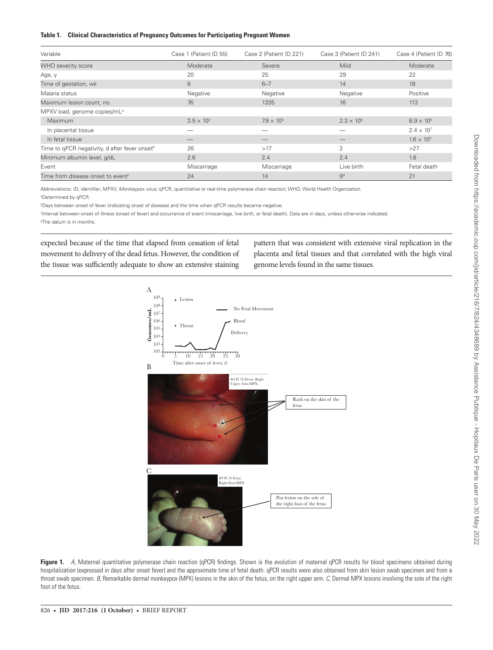#### **Table 1. Clinical Characteristics of Pregnancy Outcomes for Participating Pregnant Women**

| Variable                                                  | Case 1 (Patient ID 55) | Case 2 (Patient ID 221) | Case 3 (Patient ID 241) | Case 4 (Patient ID 76) |
|-----------------------------------------------------------|------------------------|-------------------------|-------------------------|------------------------|
| <b>WHO</b> severity score                                 | Moderate               | Severe                  | Mild                    | Moderate               |
| Age, y                                                    | 20                     | 25                      | 29                      | 22                     |
| Time of gestation, wk                                     | 6                      | $6 - 7$                 | 14                      | 18                     |
| Malaria status                                            | Negative               | Negative                | Negative                | Positive               |
| Maximum lesion count, no.                                 | 76                     | 1335                    | 16                      | 113                    |
| MPXV load, genome copies/mL <sup>a</sup>                  |                        |                         |                         |                        |
| Maximum                                                   | $3.5 \times 10^{3}$    | $7.9 \times 10^{5}$     | $2.3 \times 10^{5}$     | $8.9 \times 10^{5}$    |
| In placental tissue                                       | --                     |                         |                         | $2.4 \times 10^{7}$    |
| In fetal tissue                                           | _                      |                         |                         | $1.6 \times 10^{3}$    |
| Time to qPCR negativity, d after fever onset <sup>b</sup> | 26                     | >17                     | $\overline{2}$          | >27                    |
| Minimum albumin level, g/dL                               | 2.6                    | 2.4                     | 2.4                     | 1.8                    |
| Event                                                     | Miscarriage            | Miscarriage             | Live birth              | Fetal death            |
| Time from disease onset to event <sup>c</sup>             | 24                     | 14                      | 9 <sup>d</sup>          | 21                     |

Abbreviations: ID, identifier; MPXV, *Monkeypox virus*; qPCR, quantitative or real-time polymerase chain reaction; WHO, World Health Organization.

a Determined by qPCR.

b Days between onset of fever (indicating onset of disease) and the time when qPCR results became negative.

c Interval between onset of illness (onset of fever) and occurrence of event (miscarriage, live birth, or fetal death). Data are in days, unless otherwise indicated. d The datum is in months.

expected because of the time that elapsed from cessation of fetal movement to delivery of the dead fetus. However, the condition of the tissue was sufficiently adequate to show an extensive staining pattern that was consistent with extensive viral replication in the placenta and fetal tissues and that correlated with the high viral genome levels found in the same tissues.



Figure 1. *A*, Maternal quantitative polymerase chain reaction (qPCR) findings. Shown is the evolution of maternal qPCR results for blood specimens obtained during hospitalization (expressed in days after onset fever) and the approximate time of fetal death. qPCR results were also obtained from skin lesion swab specimen and from a throat swab specimen. *B*, Remarkable dermal monkeypox (MPX) lesions in the skin of the fetus, on the right upper arm. *C*, Dermal MPX lesions involving the sole of the right foot of the fetus.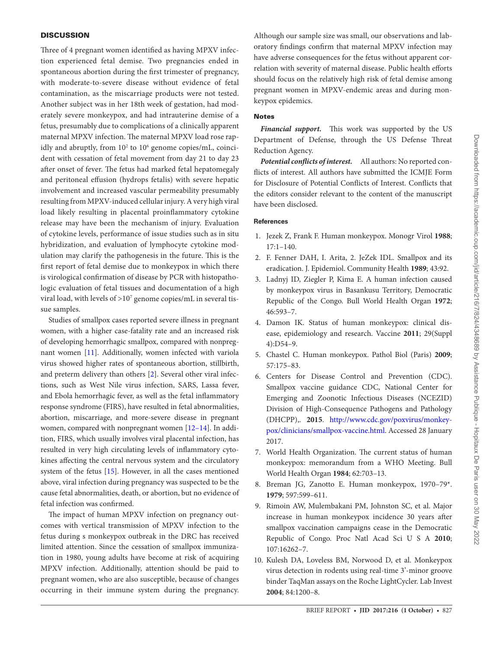# **DISCUSSION**

Three of 4 pregnant women identified as having MPXV infection experienced fetal demise. Two pregnancies ended in spontaneous abortion during the first trimester of pregnancy, with moderate-to-severe disease without evidence of fetal contamination, as the miscarriage products were not tested. Another subject was in her 18th week of gestation, had moderately severe monkeypox, and had intrauterine demise of a fetus, presumably due to complications of a clinically apparent maternal MPXV infection. The maternal MPXV load rose rapidly and abruptly, from 10<sup>2</sup> to 10<sup>6</sup> genome copies/mL, coincident with cessation of fetal movement from day 21 to day 23 after onset of fever. The fetus had marked fetal hepatomegaly and peritoneal effusion (hydrops fetalis) with severe hepatic involvement and increased vascular permeability presumably resulting from MPXV-induced cellular injury. A very high viral load likely resulting in placental proinflammatory cytokine release may have been the mechanism of injury. Evaluation of cytokine levels, performance of issue studies such as in situ hybridization, and evaluation of lymphocyte cytokine modulation may clarify the pathogenesis in the future. This is the first report of fetal demise due to monkeypox in which there is virological confirmation of disease by PCR with histopathologic evaluation of fetal tissues and documentation of a high viral load, with levels of  $>$ 10 $^7$  genome copies/mL in several tissue samples.

Studies of smallpox cases reported severe illness in pregnant women, with a higher case-fatality rate and an increased risk of developing hemorrhagic smallpox, compared with nonpregnant women [11]. Additionally, women infected with variola virus showed higher rates of spontaneous abortion, stillbirth, and preterm delivery than others [2]. Several other viral infections, such as West Nile virus infection, SARS, Lassa fever, and Ebola hemorrhagic fever, as well as the fetal inflammatory response syndrome (FIRS), have resulted in fetal abnormalities, abortion, miscarriage, and more-severe disease in pregnant women, compared with nonpregnant women [12–14]. In addition, FIRS, which usually involves viral placental infection, has resulted in very high circulating levels of inflammatory cytokines affecting the central nervous system and the circulatory system of the fetus [15]. However, in all the cases mentioned above, viral infection during pregnancy was suspected to be the cause fetal abnormalities, death, or abortion, but no evidence of fetal infection was confirmed.

The impact of human MPXV infection on pregnancy outcomes with vertical transmission of MPXV infection to the fetus during s monkeypox outbreak in the DRC has received limited attention. Since the cessation of smallpox immunization in 1980, young adults have become at risk of acquiring MPXV infection. Additionally, attention should be paid to pregnant women, who are also susceptible, because of changes occurring in their immune system during the pregnancy. Although our sample size was small, our observations and laboratory findings confirm that maternal MPXV infection may have adverse consequences for the fetus without apparent correlation with severity of maternal disease. Public health efforts should focus on the relatively high risk of fetal demise among pregnant women in MPXV-endemic areas and during monkeypox epidemics.

# Notes

*Financial support.* This work was supported by the US Department of Defense, through the US Defense Threat Reduction Agency.

*Potential conflicts of interest.* All authors: No reported conflicts of interest. All authors have submitted the ICMJE Form for Disclosure of Potential Conflicts of Interest. Conflicts that the editors consider relevant to the content of the manuscript have been disclosed.

# **References**

- 1. Jezek Z, Frank F. Human monkeypox. Monogr Virol **1988**; 17:1–140.
- 2. F. Fenner DAH, I. Arita, 2. JeZek IDL. Smallpox and its eradication. J. Epidemiol. Community Health **1989**; 43:92.
- 3. Ladnyj ID, Ziegler P, Kima E. A human infection caused by monkeypox virus in Basankusu Territory, Democratic Republic of the Congo. Bull World Health Organ **1972**; 46:593–7.
- 4. Damon IK. Status of human monkeypox: clinical disease, epidemiology and research. Vaccine **2011**; 29(Suppl 4):D54–9.
- 5. Chastel C. Human monkeypox. Pathol Biol (Paris) **2009**; 57:175–83.
- 6. Centers for Disease Control and Prevention (CDC). Smallpox vaccine guidance CDC, National Center for Emerging and Zoonotic Infectious Diseases (NCEZID) Division of High-Consequence Pathogens and Pathology (DHCPP),. **2015**. http://www.cdc.gov/poxvirus/monkeypox/clinicians/smallpox-vaccine.html. Accessed 28 January 2017.
- 7. World Health Organization. The current status of human monkeypox: memorandum from a WHO Meeting. Bull World Health Organ **1984**; 62:703–13.
- 8. Breman JG, Zanotto E. Human monkeypox, 1970–79\*. **1979**; 597:599–611.
- 9. Rimoin AW, Mulembakani PM, Johnston SC, et al. Major increase in human monkeypox incidence 30 years after smallpox vaccination campaigns cease in the Democratic Republic of Congo. Proc Natl Acad Sci U S A **2010**; 107:16262–7.
- 10. Kulesh DA, Loveless BM, Norwood D, et al. Monkeypox virus detection in rodents using real-time 3'-minor groove binder TaqMan assays on the Roche LightCycler. Lab Invest **2004**; 84:1200–8.